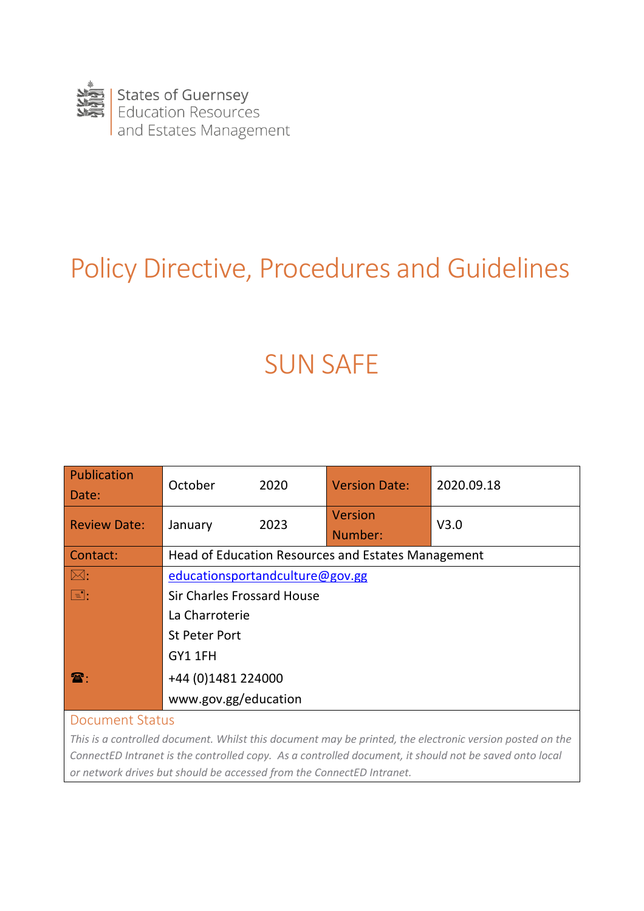

# Policy Directive, Procedures and Guidelines

# SUN SAFE

| Publication<br>Date:   | October                                            | 2020 | <b>Version Date:</b> | 2020.09.18 |  |
|------------------------|----------------------------------------------------|------|----------------------|------------|--|
| <b>Review Date:</b>    | January                                            | 2023 | Version<br>Number:   | V3.0       |  |
| Contact:               | Head of Education Resources and Estates Management |      |                      |            |  |
| $\mathbb{M}$ :         | educationsportandculture@gov.gg                    |      |                      |            |  |
| $\boxed{\blacksquare}$ | <b>Sir Charles Frossard House</b>                  |      |                      |            |  |
|                        | La Charroterie                                     |      |                      |            |  |
|                        | <b>St Peter Port</b>                               |      |                      |            |  |
|                        | GY1 1FH                                            |      |                      |            |  |
| $\mathbf{\mathbf{a}}$  | +44 (0)1481 224000                                 |      |                      |            |  |
|                        | www.gov.gg/education                               |      |                      |            |  |

#### Document Status

*This is a controlled document. Whilst this document may be printed, the electronic version posted on the ConnectED Intranet is the controlled copy. As a controlled document, it should not be saved onto local or network drives but should be accessed from the ConnectED Intranet.*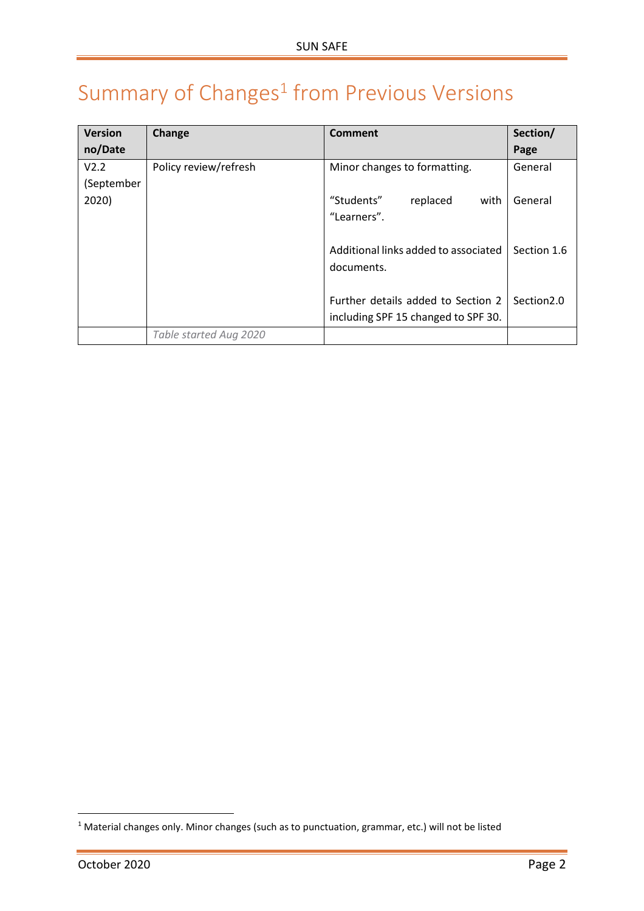## <span id="page-1-0"></span>Summary of Changes<sup>1</sup> from Previous Versions

| <b>Version</b>   | Change                 | <b>Comment</b>                       | Section/               |
|------------------|------------------------|--------------------------------------|------------------------|
| no/Date          |                        |                                      | Page                   |
| V <sub>2.2</sub> | Policy review/refresh  | Minor changes to formatting.         | General                |
| (September       |                        |                                      |                        |
| 2020)            |                        | "Students"<br>replaced<br>with       | General                |
|                  |                        | "Learners".                          |                        |
|                  |                        |                                      |                        |
|                  |                        | Additional links added to associated | Section 1.6            |
|                  |                        | documents.                           |                        |
|                  |                        |                                      |                        |
|                  |                        | Further details added to Section 2   | Section <sub>2.0</sub> |
|                  |                        | including SPF 15 changed to SPF 30.  |                        |
|                  | Table started Aug 2020 |                                      |                        |

 $\overline{a}$ 

<sup>&</sup>lt;sup>1</sup> Material changes only. Minor changes (such as to punctuation, grammar, etc.) will not be listed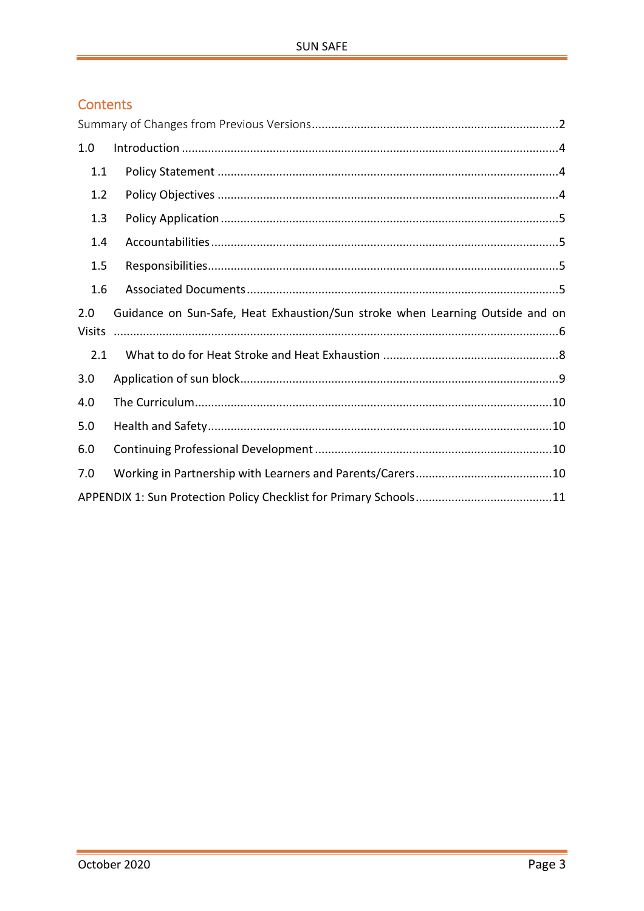### Contents

| 1.0           |                                                                               |
|---------------|-------------------------------------------------------------------------------|
| 1.1           |                                                                               |
| 1.2           |                                                                               |
| 1.3           |                                                                               |
| 1.4           |                                                                               |
| 1.5           |                                                                               |
| 1.6           |                                                                               |
| 2.0           | Guidance on Sun-Safe, Heat Exhaustion/Sun stroke when Learning Outside and on |
| <b>Visits</b> |                                                                               |
| 2.1           |                                                                               |
| 3.0           |                                                                               |
| 4.0           |                                                                               |
| 5.0           |                                                                               |
| 6.0           |                                                                               |
| 7.0           |                                                                               |
|               |                                                                               |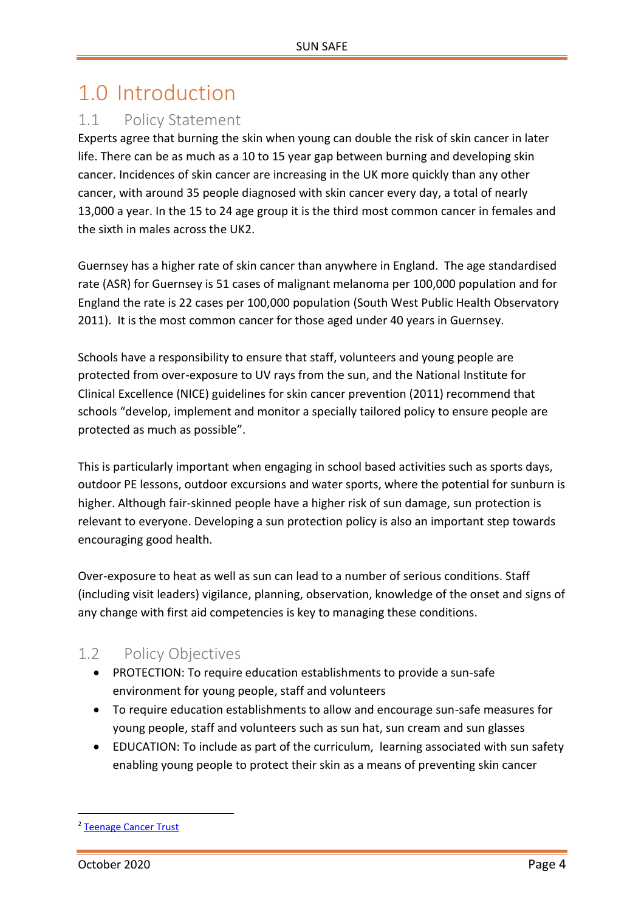## <span id="page-3-0"></span>1.0 Introduction

### <span id="page-3-1"></span>1.1 Policy Statement

Experts agree that burning the skin when young can double the risk of skin cancer in later life. There can be as much as a 10 to 15 year gap between burning and developing skin cancer. Incidences of skin cancer are increasing in the UK more quickly than any other cancer, with around 35 people diagnosed with skin cancer every day, a total of nearly 13,000 a year. In the 15 to 24 age group it is the third most common cancer in females and the sixth in males across the UK2.

Guernsey has a higher rate of skin cancer than anywhere in England. The age standardised rate (ASR) for Guernsey is 51 cases of malignant melanoma per 100,000 population and for England the rate is 22 cases per 100,000 population (South West Public Health Observatory 2011). It is the most common cancer for those aged under 40 years in Guernsey.

Schools have a responsibility to ensure that staff, volunteers and young people are protected from over-exposure to UV rays from the sun, and the National Institute for Clinical Excellence (NICE) guidelines for skin cancer prevention (2011) recommend that schools "develop, implement and monitor a specially tailored policy to ensure people are protected as much as possible".

This is particularly important when engaging in school based activities such as sports days, outdoor PE lessons, outdoor excursions and water sports, where the potential for sunburn is higher. Although fair-skinned people have a higher risk of sun damage, sun protection is relevant to everyone. Developing a sun protection policy is also an important step towards encouraging good health.

Over-exposure to heat as well as sun can lead to a number of serious conditions. Staff (including visit leaders) vigilance, planning, observation, knowledge of the onset and signs of any change with first aid competencies is key to managing these conditions.

### <span id="page-3-2"></span>1.2 Policy Objectives

- PROTECTION: To require education establishments to provide a sun-safe environment for young people, staff and volunteers
- To require education establishments to allow and encourage sun-safe measures for young people, staff and volunteers such as sun hat, sun cream and sun glasses
- EDUCATION: To include as part of the curriculum, learning associated with sun safety enabling young people to protect their skin as a means of preventing skin cancer

 $\overline{a}$ 

<sup>2</sup> [Teenage Cancer Trust](https://www.teenagecancertrust.org/about-us/news/over-third-teens-shun-suncream-uk-summer)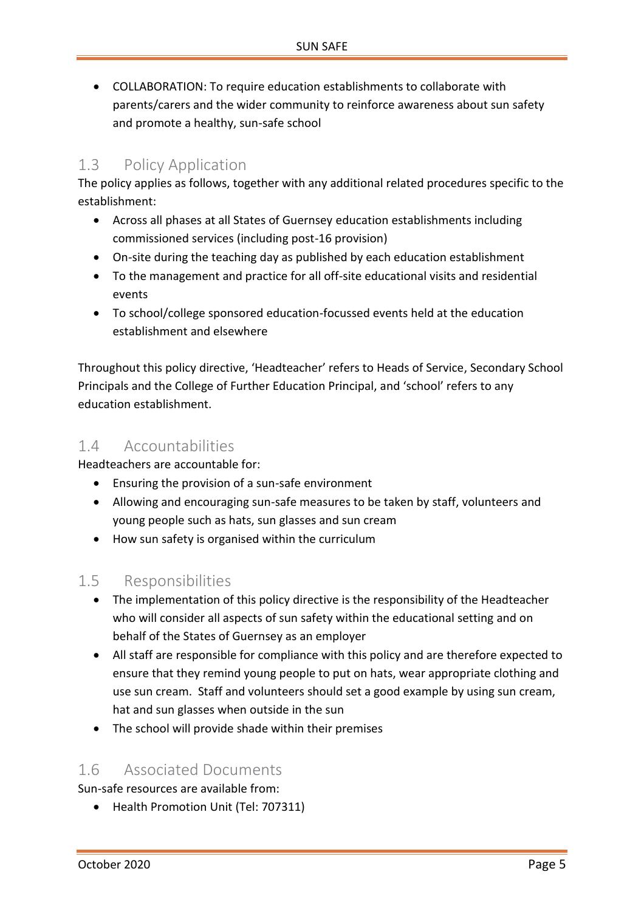COLLABORATION: To require education establishments to collaborate with parents/carers and the wider community to reinforce awareness about sun safety and promote a healthy, sun-safe school

### <span id="page-4-0"></span>1.3 Policy Application

The policy applies as follows, together with any additional related procedures specific to the establishment:

- Across all phases at all States of Guernsey education establishments including commissioned services (including post-16 provision)
- On-site during the teaching day as published by each education establishment
- To the management and practice for all off-site educational visits and residential events
- To school/college sponsored education-focussed events held at the education establishment and elsewhere

Throughout this policy directive, 'Headteacher' refers to Heads of Service, Secondary School Principals and the College of Further Education Principal, and 'school' refers to any education establishment.

### <span id="page-4-1"></span>1.4 Accountabilities

Headteachers are accountable for:

- Ensuring the provision of a sun-safe environment
- Allowing and encouraging sun-safe measures to be taken by staff, volunteers and young people such as hats, sun glasses and sun cream
- How sun safety is organised within the curriculum

### <span id="page-4-2"></span>1.5 Responsibilities

- The implementation of this policy directive is the responsibility of the Headteacher who will consider all aspects of sun safety within the educational setting and on behalf of the States of Guernsey as an employer
- All staff are responsible for compliance with this policy and are therefore expected to ensure that they remind young people to put on hats, wear appropriate clothing and use sun cream. Staff and volunteers should set a good example by using sun cream, hat and sun glasses when outside in the sun
- The school will provide shade within their premises

### <span id="page-4-3"></span>1.6 Associated Documents

Sun-safe resources are available from:

• Health Promotion Unit (Tel: 707311)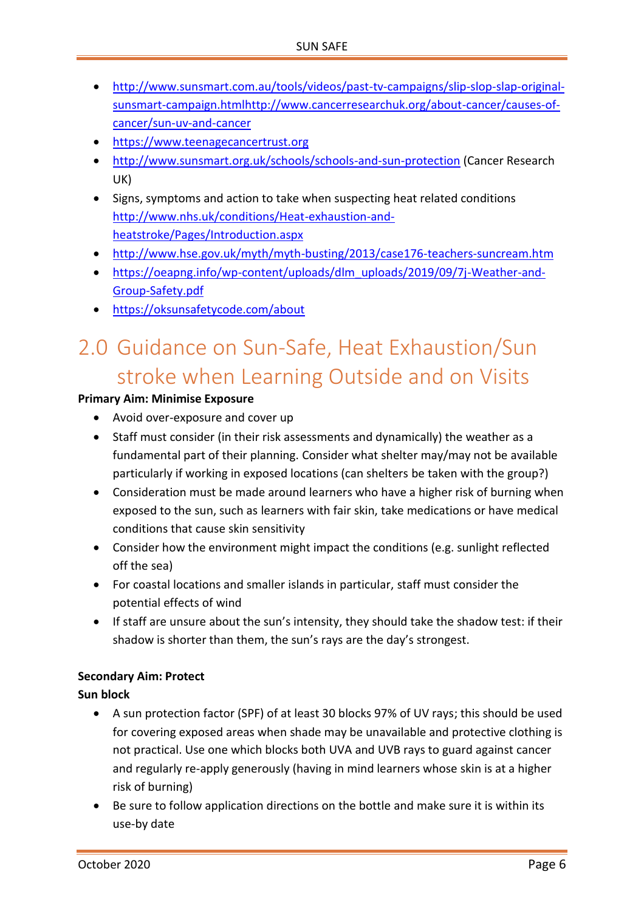- [http://www.sunsmart.com.au/tools/videos/past-tv-campaigns/slip-slop-slap-original](http://www.sunsmart.com.au/tools/videos/past-tv-campaigns/slip-slop-slap-original-sunsmart-campaign.html)[sunsmart-campaign.html](http://www.sunsmart.com.au/tools/videos/past-tv-campaigns/slip-slop-slap-original-sunsmart-campaign.html)[http://www.cancerresearchuk.org/about-cancer/causes-of](http://www.cancerresearchuk.org/about-cancer/causes-of-cancer/sun-uv-and-cancer)[cancer/sun-uv-and-cancer](http://www.cancerresearchuk.org/about-cancer/causes-of-cancer/sun-uv-and-cancer)
- [https://www.teenagecancertrust.org](https://www.teenagecancertrust.org/)
- <http://www.sunsmart.org.uk/schools/schools-and-sun-protection> (Cancer Research UK)
- Signs, symptoms and action to take when suspecting heat related conditions [http://www.nhs.uk/conditions/Heat-exhaustion-and](http://www.nhs.uk/conditions/Heat-exhaustion-and-heatstroke/Pages/Introduction.aspx)[heatstroke/Pages/Introduction.aspx](http://www.nhs.uk/conditions/Heat-exhaustion-and-heatstroke/Pages/Introduction.aspx)
- <http://www.hse.gov.uk/myth/myth-busting/2013/case176-teachers-suncream.htm>
- https://oeapng.info/wp-content/uploads/dlm\_uploads/2019/09/7j-Weather-and-Group-Safety.pdf
- https://oksunsafetycode.com/about

## <span id="page-5-0"></span>2.0 Guidance on Sun-Safe, Heat Exhaustion/Sun stroke when Learning Outside and on Visits

#### **Primary Aim: Minimise Exposure**

- Avoid over-exposure and cover up
- Staff must consider (in their risk assessments and dynamically) the weather as a fundamental part of their planning. Consider what shelter may/may not be available particularly if working in exposed locations (can shelters be taken with the group?)
- Consideration must be made around learners who have a higher risk of burning when exposed to the sun, such as learners with fair skin, take medications or have medical conditions that cause skin sensitivity
- Consider how the environment might impact the conditions (e.g. sunlight reflected off the sea)
- For coastal locations and smaller islands in particular, staff must consider the potential effects of wind
- If staff are unsure about the sun's intensity, they should take the shadow test: if their shadow is shorter than them, the sun's rays are the day's strongest.

#### **Secondary Aim: Protect**

#### **Sun block**

- A sun protection factor (SPF) of at least 30 blocks 97% of UV rays; this should be used for covering exposed areas when shade may be unavailable and protective clothing is not practical. Use one which blocks both UVA and UVB rays to guard against cancer and regularly re-apply generously (having in mind learners whose skin is at a higher risk of burning)
- Be sure to follow application directions on the bottle and make sure it is within its use-by date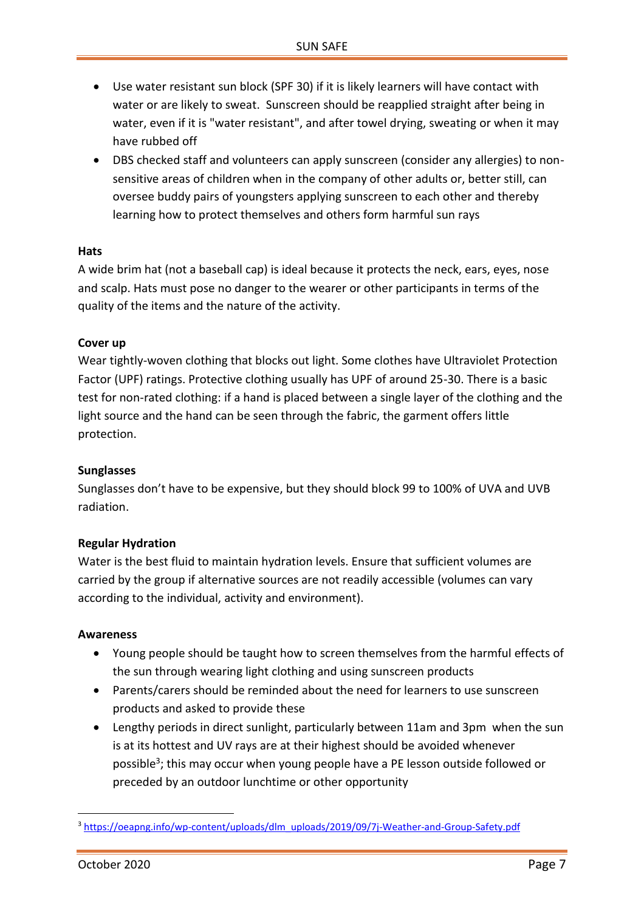- Use water resistant sun block (SPF 30) if it is likely learners will have contact with water or are likely to sweat. Sunscreen should be reapplied straight after being in water, even if it is "water resistant", and after towel drying, sweating or when it may have rubbed off
- DBS checked staff and volunteers can apply sunscreen (consider any allergies) to nonsensitive areas of children when in the company of other adults or, better still, can oversee buddy pairs of youngsters applying sunscreen to each other and thereby learning how to protect themselves and others form harmful sun rays

#### **Hats**

A wide brim hat (not a baseball cap) is ideal because it protects the neck, ears, eyes, nose and scalp. Hats must pose no danger to the wearer or other participants in terms of the quality of the items and the nature of the activity.

#### **Cover up**

Wear tightly-woven clothing that blocks out light. Some clothes have Ultraviolet Protection Factor (UPF) ratings. Protective clothing usually has UPF of around 25-30. There is a basic test for non-rated clothing: if a hand is placed between a single layer of the clothing and the light source and the hand can be seen through the fabric, the garment offers little protection.

#### **Sunglasses**

Sunglasses don't have to be expensive, but they should block 99 to 100% of UVA and UVB radiation.

#### **Regular Hydration**

Water is the best fluid to maintain hydration levels. Ensure that sufficient volumes are carried by the group if alternative sources are not readily accessible (volumes can vary according to the individual, activity and environment).

#### **Awareness**

- Young people should be taught how to screen themselves from the harmful effects of the sun through wearing light clothing and using sunscreen products
- Parents/carers should be reminded about the need for learners to use sunscreen products and asked to provide these
- Lengthy periods in direct sunlight, particularly between 11am and 3pm when the sun is at its hottest and UV rays are at their highest should be avoided whenever possible<sup>3</sup>; this may occur when young people have a PE lesson outside followed or preceded by an outdoor lunchtime or other opportunity

 $\overline{a}$ 

<sup>3</sup> [https://oeapng.info/wp-content/uploads/dlm\\_uploads/2019/09/7j-Weather-and-Group-Safety.pdf](https://oeapng.info/wp-content/uploads/dlm_uploads/2019/09/7j-Weather-and-Group-Safety.pdf)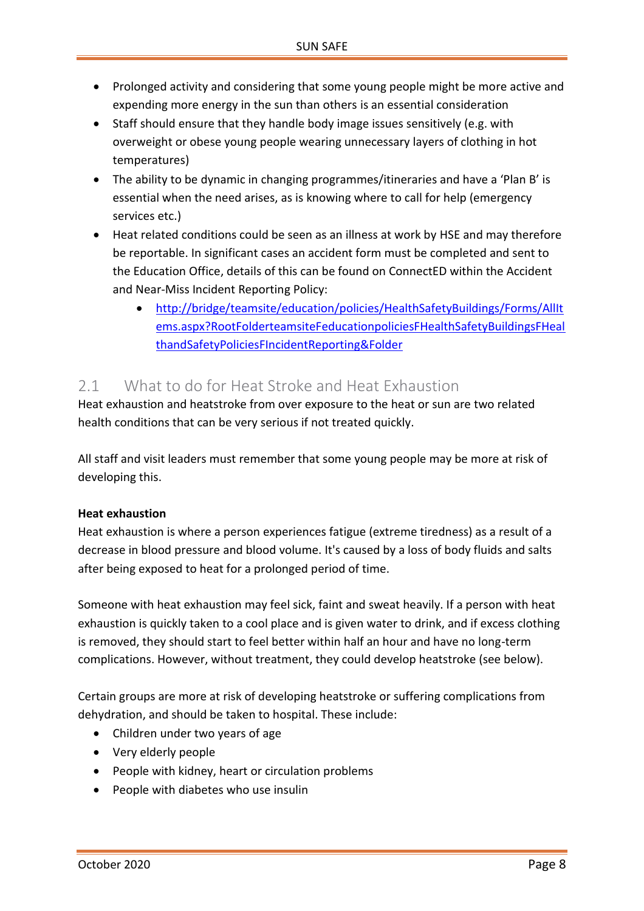- Prolonged activity and considering that some young people might be more active and expending more energy in the sun than others is an essential consideration
- Staff should ensure that they handle body image issues sensitively (e.g. with overweight or obese young people wearing unnecessary layers of clothing in hot temperatures)
- The ability to be dynamic in changing programmes/itineraries and have a 'Plan B' is essential when the need arises, as is knowing where to call for help (emergency services etc.)
- Heat related conditions could be seen as an illness at work by HSE and may therefore be reportable. In significant cases an accident form must be completed and sent to the Education Office, details of this can be found on ConnectED within the Accident and Near-Miss Incident Reporting Policy:
	- [http://bridge/teamsite/education/policies/HealthSafetyBuildings/Forms/AllIt](http://bridge/teamsite/education/policies/Health%20%20SafetyBuildings/Forms/AllItems.aspx?RootFolder=%2Fteamsite%2Feducation%2Fpolicies%2FHealth%20%20SafetyBuildings%2FHealth%20and%20Safety%20Policies%2FIncident%20Reporting&FolderCTID=0x012000BDCBFAB2158F9940BED300F292229741&View=%7b05AA98B7-BF23-4C8E-8315-DF98CCBD0352%7d) [ems.aspx?RootFolderteamsiteFeducationpoliciesFHealthSafetyBuildingsFHeal](http://bridge/teamsite/education/policies/Health%20%20SafetyBuildings/Forms/AllItems.aspx?RootFolder=%2Fteamsite%2Feducation%2Fpolicies%2FHealth%20%20SafetyBuildings%2FHealth%20and%20Safety%20Policies%2FIncident%20Reporting&FolderCTID=0x012000BDCBFAB2158F9940BED300F292229741&View=%7b05AA98B7-BF23-4C8E-8315-DF98CCBD0352%7d) [thandSafetyPoliciesFIncidentReporting&Folder](http://bridge/teamsite/education/policies/Health%20%20SafetyBuildings/Forms/AllItems.aspx?RootFolder=%2Fteamsite%2Feducation%2Fpolicies%2FHealth%20%20SafetyBuildings%2FHealth%20and%20Safety%20Policies%2FIncident%20Reporting&FolderCTID=0x012000BDCBFAB2158F9940BED300F292229741&View=%7b05AA98B7-BF23-4C8E-8315-DF98CCBD0352%7d)

### <span id="page-7-0"></span>2.1 What to do for Heat Stroke and Heat Exhaustion

Heat exhaustion and heatstroke from over exposure to the heat or sun are two related health conditions that can be very serious if not treated quickly.

All staff and visit leaders must remember that some young people may be more at risk of developing this.

#### **Heat exhaustion**

Heat exhaustion is where a person experiences fatigue (extreme tiredness) as a result of a decrease in blood pressure and blood volume. It's caused by a loss of body fluids and salts after being exposed to heat for a prolonged period of time.

Someone with heat exhaustion may feel sick, faint and sweat heavily. If a person with heat exhaustion is quickly taken to a cool place and is given water to drink, and if excess clothing is removed, they should start to feel better within half an hour and have no long-term complications. However, without treatment, they could develop heatstroke (see below).

Certain groups are more at risk of developing heatstroke or suffering complications from dehydration, and should be taken to hospital. These include:

- Children under two years of age
- Very elderly people
- People with kidney, heart or circulation problems
- People with diabetes who use insulin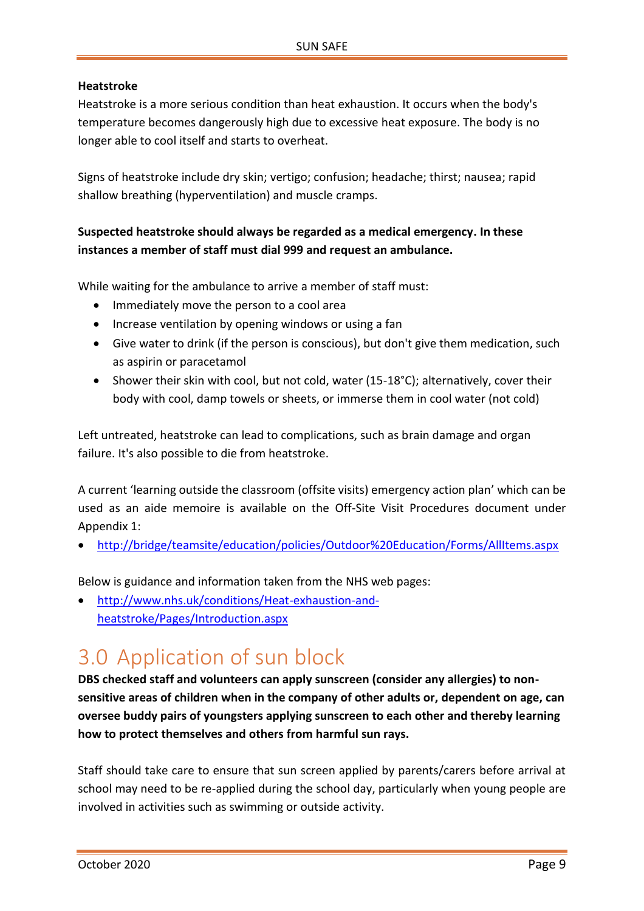#### **Heatstroke**

Heatstroke is a more serious condition than heat exhaustion. It occurs when the body's temperature becomes dangerously high due to excessive heat exposure. The body is no longer able to cool itself and starts to overheat.

Signs of heatstroke include dry skin; vertigo; confusion; headache; thirst; nausea; rapid shallow breathing (hyperventilation) and muscle cramps.

#### **Suspected heatstroke should always be regarded as a medical emergency. In these instances a member of staff must dial 999 and request an ambulance.**

While waiting for the ambulance to arrive a member of staff must:

- Immediately move the person to a cool area
- Increase ventilation by opening windows or using a fan
- Give water to drink (if the person is conscious), but don't give them medication, such as aspirin or paracetamol
- Shower their skin with cool, but not cold, water (15-18°C); alternatively, cover their body with cool, damp towels or sheets, or immerse them in cool water (not cold)

Left untreated, heatstroke can lead to complications, such as brain damage and organ failure. It's also possible to die from heatstroke.

<span id="page-8-0"></span>A current 'learning outside the classroom (offsite visits) emergency action plan' which can be used as an aide memoire is available on the Off-Site Visit Procedures document under Appendix 1:

<http://bridge/teamsite/education/policies/Outdoor%20Education/Forms/AllItems.aspx>

Below is guidance and information taken from the NHS web pages:

 [http://www.nhs.uk/conditions/Heat-exhaustion-and](http://www.nhs.uk/conditions/Heat-exhaustion-and-heatstroke/Pages/Introduction.aspx)[heatstroke/Pages/Introduction.aspx](http://www.nhs.uk/conditions/Heat-exhaustion-and-heatstroke/Pages/Introduction.aspx)

## 3.0 Application of sun block

**DBS checked staff and volunteers can apply sunscreen (consider any allergies) to nonsensitive areas of children when in the company of other adults or, dependent on age, can oversee buddy pairs of youngsters applying sunscreen to each other and thereby learning how to protect themselves and others from harmful sun rays.**

Staff should take care to ensure that sun screen applied by parents/carers before arrival at school may need to be re-applied during the school day, particularly when young people are involved in activities such as swimming or outside activity.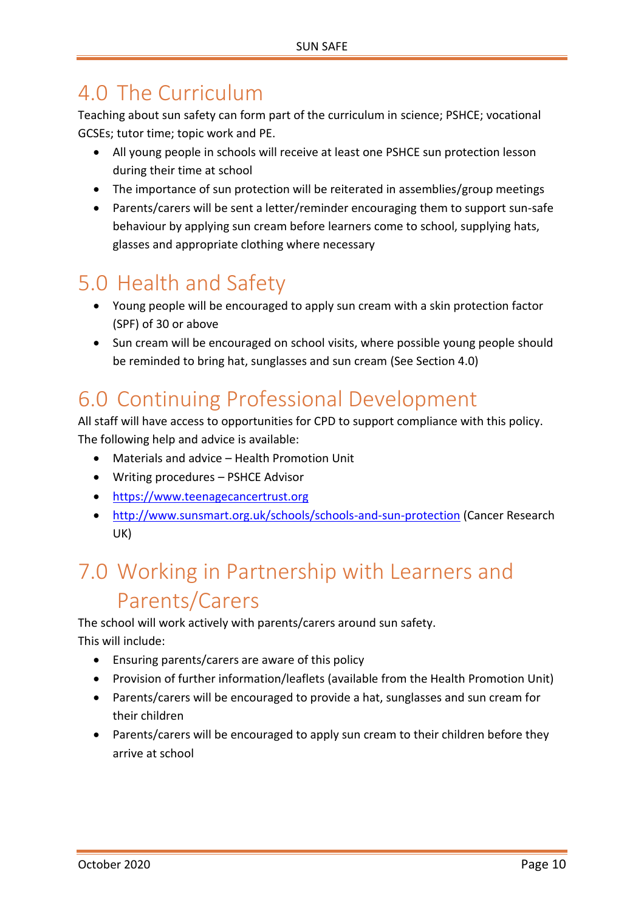## <span id="page-9-0"></span>4.0 The Curriculum

Teaching about sun safety can form part of the curriculum in science; PSHCE; vocational GCSEs; tutor time; topic work and PE.

- All young people in schools will receive at least one PSHCE sun protection lesson during their time at school
- The importance of sun protection will be reiterated in assemblies/group meetings
- Parents/carers will be sent a letter/reminder encouraging them to support sun-safe behaviour by applying sun cream before learners come to school, supplying hats, glasses and appropriate clothing where necessary

## <span id="page-9-1"></span>5.0 Health and Safety

- Young people will be encouraged to apply sun cream with a skin protection factor (SPF) of 30 or above
- Sun cream will be encouraged on school visits, where possible young people should be reminded to bring hat, sunglasses and sun cream (See Section 4.0)

## <span id="page-9-2"></span>6.0 Continuing Professional Development

All staff will have access to opportunities for CPD to support compliance with this policy. The following help and advice is available:

- Materials and advice Health Promotion Unit
- Writing procedures PSHCE Advisor
- [https://www.teenagecancertrust.org](https://www.teenagecancertrust.org/)
- <http://www.sunsmart.org.uk/schools/schools-and-sun-protection> (Cancer Research UK)

## <span id="page-9-3"></span>7.0 Working in Partnership with Learners and Parents/Carers

The school will work actively with parents/carers around sun safety. This will include:

- Ensuring parents/carers are aware of this policy
- Provision of further information/leaflets (available from the Health Promotion Unit)
- Parents/carers will be encouraged to provide a hat, sunglasses and sun cream for their children
- Parents/carers will be encouraged to apply sun cream to their children before they arrive at school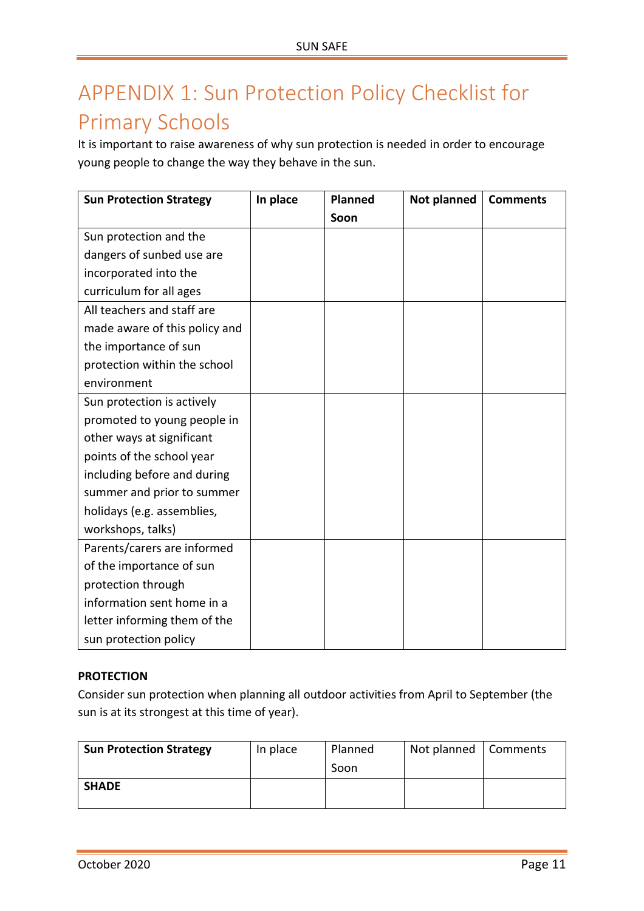## <span id="page-10-0"></span>APPENDIX 1: Sun Protection Policy Checklist for Primary Schools

It is important to raise awareness of why sun protection is needed in order to encourage young people to change the way they behave in the sun.

| <b>Sun Protection Strategy</b> | In place | <b>Planned</b> | Not planned | <b>Comments</b> |
|--------------------------------|----------|----------------|-------------|-----------------|
|                                |          | Soon           |             |                 |
| Sun protection and the         |          |                |             |                 |
| dangers of sunbed use are      |          |                |             |                 |
| incorporated into the          |          |                |             |                 |
| curriculum for all ages        |          |                |             |                 |
| All teachers and staff are     |          |                |             |                 |
| made aware of this policy and  |          |                |             |                 |
| the importance of sun          |          |                |             |                 |
| protection within the school   |          |                |             |                 |
| environment                    |          |                |             |                 |
| Sun protection is actively     |          |                |             |                 |
| promoted to young people in    |          |                |             |                 |
| other ways at significant      |          |                |             |                 |
| points of the school year      |          |                |             |                 |
| including before and during    |          |                |             |                 |
| summer and prior to summer     |          |                |             |                 |
| holidays (e.g. assemblies,     |          |                |             |                 |
| workshops, talks)              |          |                |             |                 |
| Parents/carers are informed    |          |                |             |                 |
| of the importance of sun       |          |                |             |                 |
| protection through             |          |                |             |                 |
| information sent home in a     |          |                |             |                 |
| letter informing them of the   |          |                |             |                 |
| sun protection policy          |          |                |             |                 |

#### **PROTECTION**

Consider sun protection when planning all outdoor activities from April to September (the sun is at its strongest at this time of year).

| <b>Sun Protection Strategy</b> | In place | Planned<br>Soon | Not planned | Comments |
|--------------------------------|----------|-----------------|-------------|----------|
| <b>SHADE</b>                   |          |                 |             |          |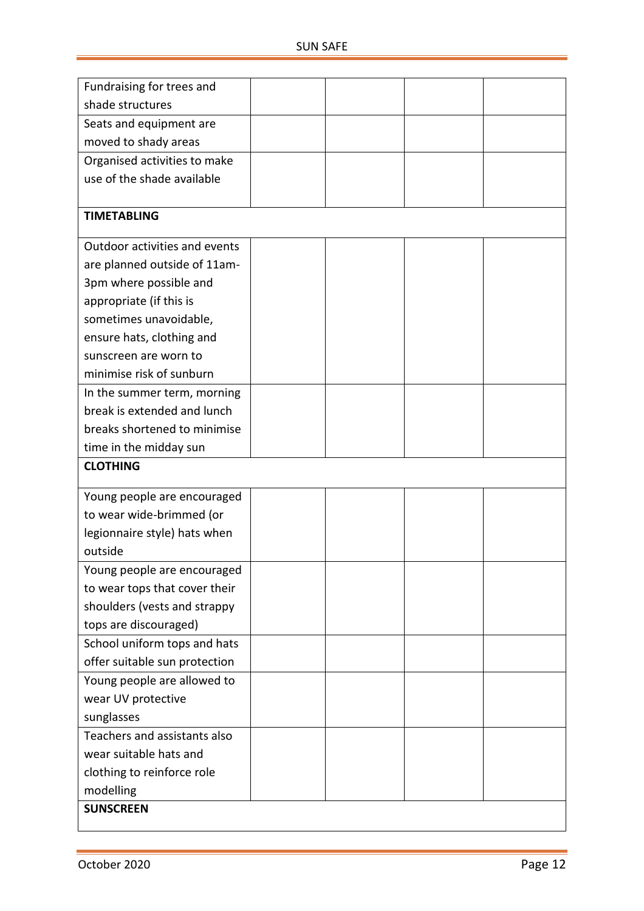| Fundraising for trees and     |  |  |
|-------------------------------|--|--|
| shade structures              |  |  |
| Seats and equipment are       |  |  |
| moved to shady areas          |  |  |
| Organised activities to make  |  |  |
| use of the shade available    |  |  |
|                               |  |  |
| <b>TIMETABLING</b>            |  |  |
| Outdoor activities and events |  |  |
| are planned outside of 11am-  |  |  |
| 3pm where possible and        |  |  |
| appropriate (if this is       |  |  |
| sometimes unavoidable,        |  |  |
| ensure hats, clothing and     |  |  |
| sunscreen are worn to         |  |  |
| minimise risk of sunburn      |  |  |
| In the summer term, morning   |  |  |
| break is extended and lunch   |  |  |
| breaks shortened to minimise  |  |  |
| time in the midday sun        |  |  |
| <b>CLOTHING</b>               |  |  |
| Young people are encouraged   |  |  |
| to wear wide-brimmed (or      |  |  |
| legionnaire style) hats when  |  |  |
| outside                       |  |  |
| Young people are encouraged   |  |  |
| to wear tops that cover their |  |  |
| shoulders (vests and strappy  |  |  |
| tops are discouraged)         |  |  |
| School uniform tops and hats  |  |  |
| offer suitable sun protection |  |  |
| Young people are allowed to   |  |  |
| wear UV protective            |  |  |
| sunglasses                    |  |  |
| Teachers and assistants also  |  |  |
| wear suitable hats and        |  |  |
| clothing to reinforce role    |  |  |
|                               |  |  |
| modelling<br><b>SUNSCREEN</b> |  |  |